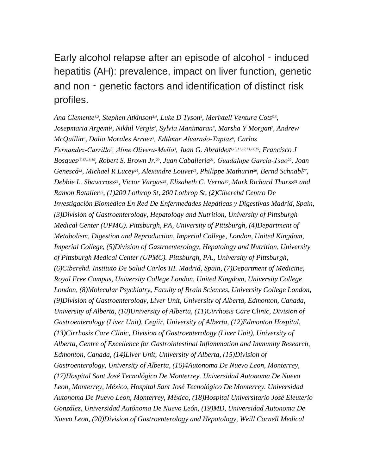Early alcohol relapse after an episode of alcohol - induced hepatitis (AH): prevalence, impact on liver function, genetic and non - genetic factors and identification of distinct risk profiles.

Ana Clemente<sup>*1,2*</sup>, Stephen Atkinson<sup>3,4</sup>, Luke D Tyson<sup>4</sup>, Merixtell Ventura Cots<sup>5,6</sup>, *Josepmaria Argemi<sup>3</sup> , Nikhil Vergis<sup>4</sup> , Sylvia Manimaran<sup>7</sup> , Marsha Y Morgan<sup>7</sup> , Andrew McQuillin<sup>8</sup> , Dalia Morales Arraez<sup>3</sup> , Edilmar Alvarado‐Tapias<sup>6</sup> , Carlos Fernandez‐Carrillo<sup>3</sup> , Aline Olivera‐Mello<sup>3</sup> , Juan G. Abraldes9,10,11,12,13,14,15, Francisco J Bosques16,17,18,19, Robert S. Brown Jr.20, Juan Caballeria21, Guadalupe Garcia‐Tsao22, Joan Genescá23, Michael R Lucey24, Alexandre Louvet25, Philippe Mathurin26, Bernd Schnabl<sup>27</sup> , Debbie L. Shawcross28, Victor Vargas29, Elizabeth C. Verna30, Mark Richard Thursz<sup>31</sup> and Ramon Bataller32, (1)200 Lothrop St, 200 Lothrop St, (2)Ciberehd Centro De Investigación Biomédica En Red De Enfermedades Hepáticas y Digestivas Madrid, Spain, (3)Division of Gastroenterology, Hepatology and Nutrition, University of Pittsburgh Medical Center (UPMC). Pittsburgh, PA, University of Pittsburgh, (4)Department of Metabolism, Digestion and Reproduction, Imperial College, London, United Kingdom, Imperial College, (5)Division of Gastroenterology, Hepatology and Nutrition, University of Pittsburgh Medical Center (UPMC). Pittsburgh, PA., University of Pittsburgh, (6)Ciberehd. Instituto De Salud Carlos III. Madrid, Spain, (7)Department of Medicine, Royal Free Campus, University College London, United Kingdom, University College London, (8)Molecular Psychiatry, Faculty of Brain Sciences, University College London, (9)Division of Gastroenterology, Liver Unit, University of Alberta, Edmonton, Canada, University of Alberta, (10)University of Alberta, (11)Cirrhosis Care Clinic, Division of Gastroenterology (Liver Unit), Cegiir, University of Alberta, (12)Edmonton Hospital, (13)Cirrhosis Care Clinic, Division of Gastroenterology (Liver Unit), University of Alberta, Centre of Excellence for Gastrointestinal Inflammation and Immunity Research, Edmonton, Canada, (14)Liver Unit, University of Alberta, (15)Division of Gastroenterology, University of Alberta, (16)4Autonoma De Nuevo Leon, Monterrey, (17)Hospital Sant José Tecnológico De Monterrey. Universidad Autonoma De Nuevo Leon, Monterrey, México, Hospital Sant José Tecnológico De Monterrey. Universidad Autonoma De Nuevo Leon, Monterrey, México, (18)Hospital Universitario José Eleuterio González, Universidad Autónoma De Nuevo León, (19)MD, Universidad Autonoma De Nuevo Leon, (20)Division of Gastroenterology and Hepatology, Weill Cornell Medical*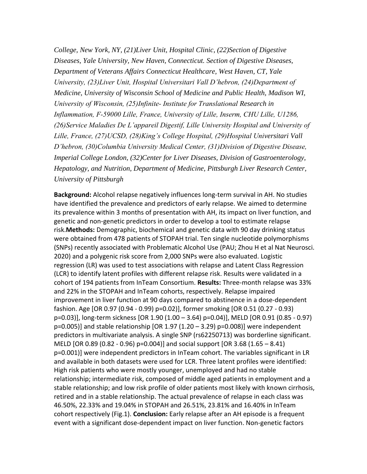*College, New York, NY, (21)Liver Unit, Hospital Clinic, (22)Section of Digestive Diseases, Yale University, New Haven, Connecticut. Section of Digestive Diseases, Department of Veterans Affairs Connecticut Healthcare, West Haven, CT, Yale University, (23)Liver Unit, Hospital Universitari Vall D'hebron, (24)Department of Medicine, University of Wisconsin School of Medicine and Public Health, Madison WI, University of Wisconsin, (25)Infinite‐ Institute for Translational Research in Inflammation, F‐59000 Lille, France, University of Lille, Inserm, CHU Lille, U1286, (26)Service Maladies De L'appareil Digestif, Lille University Hospital and University of Lille, France, (27)UCSD, (28)King's College Hospital, (29)Hospital Universitari Vall D'hebron, (30)Columbia University Medical Center, (31)Division of Digestive Disease, Imperial College London, (32)Center for Liver Diseases, Division of Gastroenterology, Hepatology, and Nutrition, Department of Medicine, Pittsburgh Liver Research Center, University of Pittsburgh*

**Background:** Alcohol relapse negatively influences long‐term survival in AH. No studies have identified the prevalence and predictors of early relapse. We aimed to determine its prevalence within 3 months of presentation with AH, its impact on liver function, and genetic and non‐genetic predictors in order to develop a tool to estimate relapse risk.**Methods:** Demographic, biochemical and genetic data with 90 day drinking status were obtained from 478 patients of STOPAH trial. Ten single nucleotide polymorphisms (SNPs) recently associated with Problematic Alcohol Use (PAU; Zhou H et al Nat Neurosci. 2020) and a polygenic risk score from 2,000 SNPs were also evaluated. Logistic regression (LR) was used to test associations with relapse and Latent Class Regression (LCR) to identify latent profiles with different relapse risk. Results were validated in a cohort of 194 patients from InTeam Consortium. **Results:** Three‐month relapse was 33% and 22% in the STOPAH and InTeam cohorts, respectively. Relapse impaired improvement in liver function at 90 days compared to abstinence in a dose-dependent fashion. Age [OR 0.97 (0.94 ‐ 0.99) p=0.02)], former smoking [OR 0.51 (0.27 ‐ 0.93) p=0.03)], long‐term sickness [OR 1.90 (1.00 – 3.64) p=0.04)], MELD [OR 0.91 (0.85 ‐ 0.97) p=0.005)] and stable relationship [OR 1.97 (1.20 – 3.29) p=0.008)] were independent predictors in multivariate analysis. A single SNP (rs62250713) was borderline significant. MELD [OR 0.89 (0.82 ‐ 0.96) p=0.004)] and social support [OR 3.68 (1.65 – 8.41) p=0.001)] were independent predictors in InTeam cohort. The variables significant in LR and available in both datasets were used for LCR. Three latent profiles were identified: High risk patients who were mostly younger, unemployed and had no stable relationship; intermediate risk, composed of middle aged patients in employment and a stable relationship; and low risk profile of older patients most likely with known cirrhosis, retired and in a stable relationship. The actual prevalence of relapse in each class was 46.50%, 22.33% and 19.04% in STOPAH and 26.51%, 23.81% and 16.40% in InTeam cohort respectively (Fig.1). **Conclusion:** Early relapse after an AH episode is a frequent event with a significant dose‐dependent impact on liver function. Non‐genetic factors